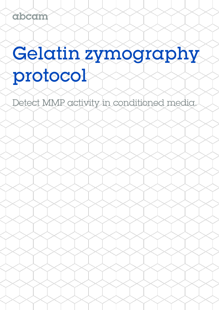# Gelatin zymography protocol

Detect MMP activity in conditioned media.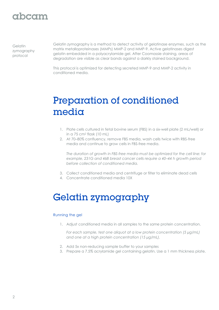### abcam

**Gelatin** zymography protocol

Gelatin zymography is a method to detect activity of gelatinase enzymes, such as the matrix metalloproteinases (MMPs) MMP-2 and MMP-9. Active gelatinases digest gelatin embedded in a polyacrylamide gel. After Coomassie staining, areas of degradation are visible as clear bands against a darkly stained background.

This protocol is optimized for detecting secreted MMP-9 and MMP-2 activity in conditioned media.

# Preparation of conditioned media

- 1. Plate cells cultured in fetal bovine serum (FBS) in a six-well plate (2 mL/well) or in a 75 cm<sup>2</sup> flask (10 mL)
- 2. At 70–80% confluency, remove FBS media, wash cells twice with RBS-free media and continue to grow cells in FBS-free media.

*The duration of growth in FBS-free media must be optimized for the cell line: for example, 231G and 468 breast cancer cells require a 40–44 h growth period before collection of conditioned media.*

- 3. Collect conditioned media and centrifuge or filter to eliminate dead cells
- 4. Concentrate conditioned media 10X

## Gelatin zymography

#### Running the gel

1. Adjust conditioned media in all samples to the same protein concentration.

*For each sample, test one aliquot at a low protein concentration (5 µg/mL) and one at a high protein concentration (15 µg/mL).*

- 2. Add 5x non-reducing sample buffer to your samples
- 3. Prepare a 7.5% acrylamide gel containing gelatin. Use a 1 mm thickness plate.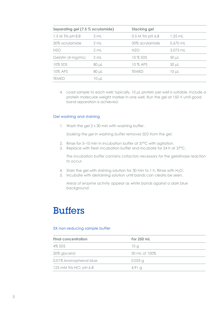| Separating gel (7.5 % acrylamide) |            | <b>Stacking gel</b> |            |  |
|-----------------------------------|------------|---------------------|------------|--|
| 1.5 M Tris pH 8.8                 | 2 mL       | 0.5 M Tris pH 6.8   | $1.25$ mL  |  |
| 30% acrylamide                    | 2 mL       | 30% acrylamide      | $0.670$ mL |  |
| H2O                               | 2 mL       | H2O                 | 3.075 mL   |  |
| Gelatin (4 mg/mL)                 | 2 mL       | 10 % SDS            | $50 \mu L$ |  |
| 10% SDS                           | 80 µL      | 10 % APS            | $50 \mu L$ |  |
| 10% APS                           | 80 µL      | TEMED               | $10 \mu L$ |  |
| temed                             | $10 \mu L$ |                     |            |  |

4. Load sample to each well; typically, 10 μL protein per well is suitable. Include a protein molecular weight marker in one well. Run the gel at 150 V until good band separation is achieved.

### Gel washing and staining

1. Wash the gel 2 x 30 min with washing buffer.

*Soaking the gel in washing buffer removes SDS from the gel.*

- 2. Rinse for 5–10 min in incubation buffer at 37°C with agitation.
- 3. Replace with fresh incubation buffer and incubate for 24 h at 37°C.

*The incubation buffer contains cofactors necessary for the gelatinase reaction to occur.*

- 4. Stain the gel with staining solution for 30 min to 1 h. Rinse with H2O.
- 5. Incubate with destaining solution until bands can clearly be seen.

*Areas of enzyme activity appear as white bands against a dark blue background.*

### **Buffers**

### 5X non-reducing sample buffer

| <b>Final concentration</b> | For 250 mL    |  |
|----------------------------|---------------|--|
| 4% SDS                     | 10 g          |  |
| 20% glycerol               | 50 mL of 100% |  |
| 0.01% bromophenol blue     | $0.025$ g     |  |
| 125 mM Tris-HCl, pH 6.8    | 4.91 a        |  |